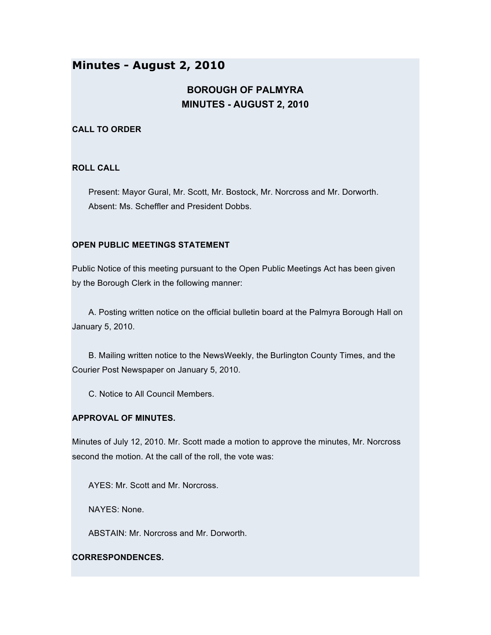## **Minutes - August 2, 2010**

# **BOROUGH OF PALMYRA MINUTES - AUGUST 2, 2010**

### **CALL TO ORDER**

#### **ROLL CALL**

Present: Mayor Gural, Mr. Scott, Mr. Bostock, Mr. Norcross and Mr. Dorworth. Absent: Ms. Scheffler and President Dobbs.

## **OPEN PUBLIC MEETINGS STATEMENT**

Public Notice of this meeting pursuant to the Open Public Meetings Act has been given by the Borough Clerk in the following manner:

A. Posting written notice on the official bulletin board at the Palmyra Borough Hall on January 5, 2010.

B. Mailing written notice to the NewsWeekly, the Burlington County Times, and the Courier Post Newspaper on January 5, 2010.

C. Notice to All Council Members.

#### **APPROVAL OF MINUTES.**

Minutes of July 12, 2010. Mr. Scott made a motion to approve the minutes, Mr. Norcross second the motion. At the call of the roll, the vote was:

AYES: Mr. Scott and Mr. Norcross.

NAYES: None.

ABSTAIN: Mr. Norcross and Mr. Dorworth.

#### **CORRESPONDENCES.**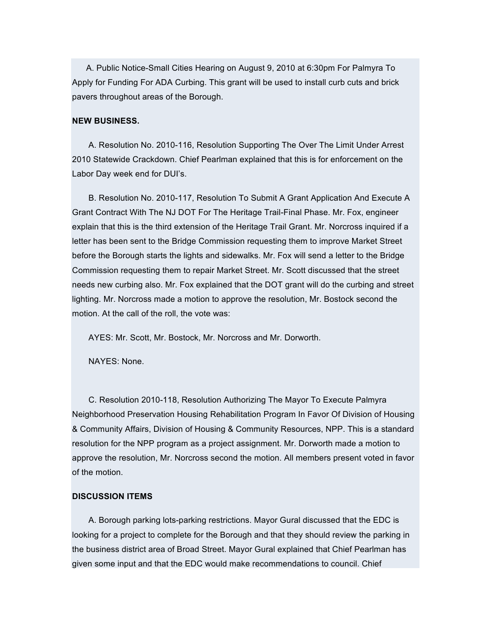A. Public Notice-Small Cities Hearing on August 9, 2010 at 6:30pm For Palmyra To Apply for Funding For ADA Curbing. This grant will be used to install curb cuts and brick pavers throughout areas of the Borough.

#### **NEW BUSINESS.**

A. Resolution No. 2010-116, Resolution Supporting The Over The Limit Under Arrest 2010 Statewide Crackdown. Chief Pearlman explained that this is for enforcement on the Labor Day week end for DUI's.

B. Resolution No. 2010-117, Resolution To Submit A Grant Application And Execute A Grant Contract With The NJ DOT For The Heritage Trail-Final Phase. Mr. Fox, engineer explain that this is the third extension of the Heritage Trail Grant. Mr. Norcross inquired if a letter has been sent to the Bridge Commission requesting them to improve Market Street before the Borough starts the lights and sidewalks. Mr. Fox will send a letter to the Bridge Commission requesting them to repair Market Street. Mr. Scott discussed that the street needs new curbing also. Mr. Fox explained that the DOT grant will do the curbing and street lighting. Mr. Norcross made a motion to approve the resolution, Mr. Bostock second the motion. At the call of the roll, the vote was:

AYES: Mr. Scott, Mr. Bostock, Mr. Norcross and Mr. Dorworth.

NAYES: None.

C. Resolution 2010-118, Resolution Authorizing The Mayor To Execute Palmyra Neighborhood Preservation Housing Rehabilitation Program In Favor Of Division of Housing & Community Affairs, Division of Housing & Community Resources, NPP. This is a standard resolution for the NPP program as a project assignment. Mr. Dorworth made a motion to approve the resolution, Mr. Norcross second the motion. All members present voted in favor of the motion.

#### **DISCUSSION ITEMS**

A. Borough parking lots-parking restrictions. Mayor Gural discussed that the EDC is looking for a project to complete for the Borough and that they should review the parking in the business district area of Broad Street. Mayor Gural explained that Chief Pearlman has given some input and that the EDC would make recommendations to council. Chief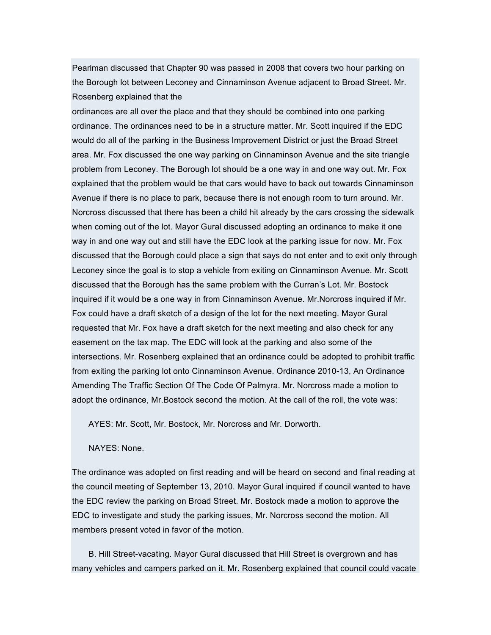Pearlman discussed that Chapter 90 was passed in 2008 that covers two hour parking on the Borough lot between Leconey and Cinnaminson Avenue adjacent to Broad Street. Mr. Rosenberg explained that the

ordinances are all over the place and that they should be combined into one parking ordinance. The ordinances need to be in a structure matter. Mr. Scott inquired if the EDC would do all of the parking in the Business Improvement District or just the Broad Street area. Mr. Fox discussed the one way parking on Cinnaminson Avenue and the site triangle problem from Leconey. The Borough lot should be a one way in and one way out. Mr. Fox explained that the problem would be that cars would have to back out towards Cinnaminson Avenue if there is no place to park, because there is not enough room to turn around. Mr. Norcross discussed that there has been a child hit already by the cars crossing the sidewalk when coming out of the lot. Mayor Gural discussed adopting an ordinance to make it one way in and one way out and still have the EDC look at the parking issue for now. Mr. Fox discussed that the Borough could place a sign that says do not enter and to exit only through Leconey since the goal is to stop a vehicle from exiting on Cinnaminson Avenue. Mr. Scott discussed that the Borough has the same problem with the Curran's Lot. Mr. Bostock inquired if it would be a one way in from Cinnaminson Avenue. Mr.Norcross inquired if Mr. Fox could have a draft sketch of a design of the lot for the next meeting. Mayor Gural requested that Mr. Fox have a draft sketch for the next meeting and also check for any easement on the tax map. The EDC will look at the parking and also some of the intersections. Mr. Rosenberg explained that an ordinance could be adopted to prohibit traffic from exiting the parking lot onto Cinnaminson Avenue. Ordinance 2010-13, An Ordinance Amending The Traffic Section Of The Code Of Palmyra. Mr. Norcross made a motion to adopt the ordinance, Mr.Bostock second the motion. At the call of the roll, the vote was:

AYES: Mr. Scott, Mr. Bostock, Mr. Norcross and Mr. Dorworth.

NAYES: None.

The ordinance was adopted on first reading and will be heard on second and final reading at the council meeting of September 13, 2010. Mayor Gural inquired if council wanted to have the EDC review the parking on Broad Street. Mr. Bostock made a motion to approve the EDC to investigate and study the parking issues, Mr. Norcross second the motion. All members present voted in favor of the motion.

B. Hill Street-vacating. Mayor Gural discussed that Hill Street is overgrown and has many vehicles and campers parked on it. Mr. Rosenberg explained that council could vacate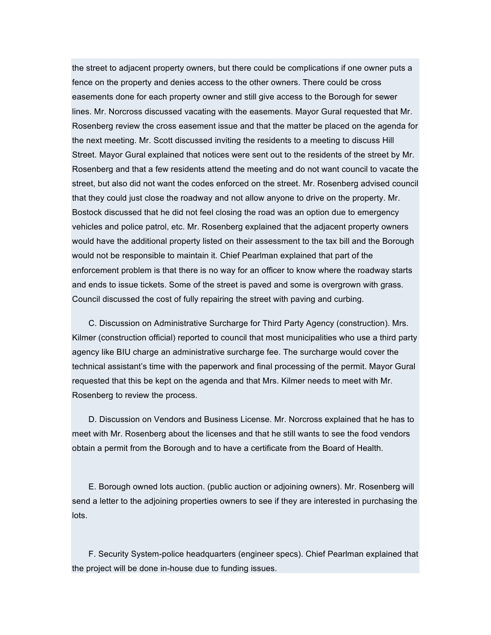the street to adjacent property owners, but there could be complications if one owner puts a fence on the property and denies access to the other owners. There could be cross easements done for each property owner and still give access to the Borough for sewer lines. Mr. Norcross discussed vacating with the easements. Mayor Gural requested that Mr. Rosenberg review the cross easement issue and that the matter be placed on the agenda for the next meeting. Mr. Scott discussed inviting the residents to a meeting to discuss Hill Street. Mayor Gural explained that notices were sent out to the residents of the street by Mr. Rosenberg and that a few residents attend the meeting and do not want council to vacate the street, but also did not want the codes enforced on the street. Mr. Rosenberg advised council that they could just close the roadway and not allow anyone to drive on the property. Mr. Bostock discussed that he did not feel closing the road was an option due to emergency vehicles and police patrol, etc. Mr. Rosenberg explained that the adjacent property owners would have the additional property listed on their assessment to the tax bill and the Borough would not be responsible to maintain it. Chief Pearlman explained that part of the enforcement problem is that there is no way for an officer to know where the roadway starts and ends to issue tickets. Some of the street is paved and some is overgrown with grass. Council discussed the cost of fully repairing the street with paving and curbing.

C. Discussion on Administrative Surcharge for Third Party Agency (construction). Mrs. Kilmer (construction official) reported to council that most municipalities who use a third party agency like BIU charge an administrative surcharge fee. The surcharge would cover the technical assistant's time with the paperwork and final processing of the permit. Mayor Gural requested that this be kept on the agenda and that Mrs. Kilmer needs to meet with Mr. Rosenberg to review the process.

D. Discussion on Vendors and Business License. Mr. Norcross explained that he has to meet with Mr. Rosenberg about the licenses and that he still wants to see the food vendors obtain a permit from the Borough and to have a certificate from the Board of Health.

E. Borough owned lots auction. (public auction or adjoining owners). Mr. Rosenberg will send a letter to the adjoining properties owners to see if they are interested in purchasing the lots.

F. Security System-police headquarters (engineer specs). Chief Pearlman explained that the project will be done in-house due to funding issues.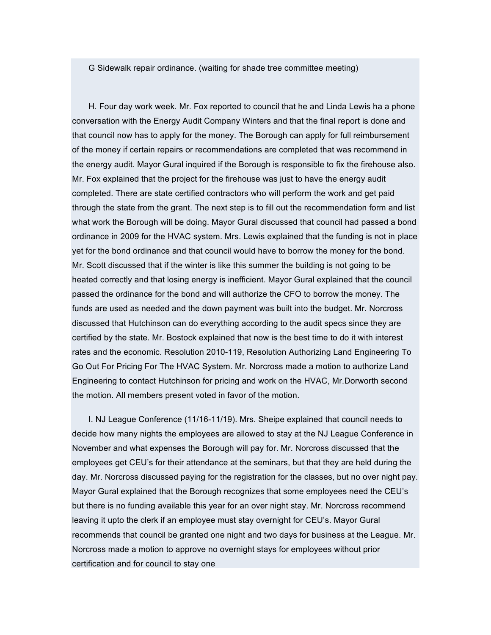G Sidewalk repair ordinance. (waiting for shade tree committee meeting)

H. Four day work week. Mr. Fox reported to council that he and Linda Lewis ha a phone conversation with the Energy Audit Company Winters and that the final report is done and that council now has to apply for the money. The Borough can apply for full reimbursement of the money if certain repairs or recommendations are completed that was recommend in the energy audit. Mayor Gural inquired if the Borough is responsible to fix the firehouse also. Mr. Fox explained that the project for the firehouse was just to have the energy audit completed. There are state certified contractors who will perform the work and get paid through the state from the grant. The next step is to fill out the recommendation form and list what work the Borough will be doing. Mayor Gural discussed that council had passed a bond ordinance in 2009 for the HVAC system. Mrs. Lewis explained that the funding is not in place yet for the bond ordinance and that council would have to borrow the money for the bond. Mr. Scott discussed that if the winter is like this summer the building is not going to be heated correctly and that losing energy is inefficient. Mayor Gural explained that the council passed the ordinance for the bond and will authorize the CFO to borrow the money. The funds are used as needed and the down payment was built into the budget. Mr. Norcross discussed that Hutchinson can do everything according to the audit specs since they are certified by the state. Mr. Bostock explained that now is the best time to do it with interest rates and the economic. Resolution 2010-119, Resolution Authorizing Land Engineering To Go Out For Pricing For The HVAC System. Mr. Norcross made a motion to authorize Land Engineering to contact Hutchinson for pricing and work on the HVAC, Mr.Dorworth second the motion. All members present voted in favor of the motion.

I. NJ League Conference (11/16-11/19). Mrs. Sheipe explained that council needs to decide how many nights the employees are allowed to stay at the NJ League Conference in November and what expenses the Borough will pay for. Mr. Norcross discussed that the employees get CEU's for their attendance at the seminars, but that they are held during the day. Mr. Norcross discussed paying for the registration for the classes, but no over night pay. Mayor Gural explained that the Borough recognizes that some employees need the CEU's but there is no funding available this year for an over night stay. Mr. Norcross recommend leaving it upto the clerk if an employee must stay overnight for CEU's. Mayor Gural recommends that council be granted one night and two days for business at the League. Mr. Norcross made a motion to approve no overnight stays for employees without prior certification and for council to stay one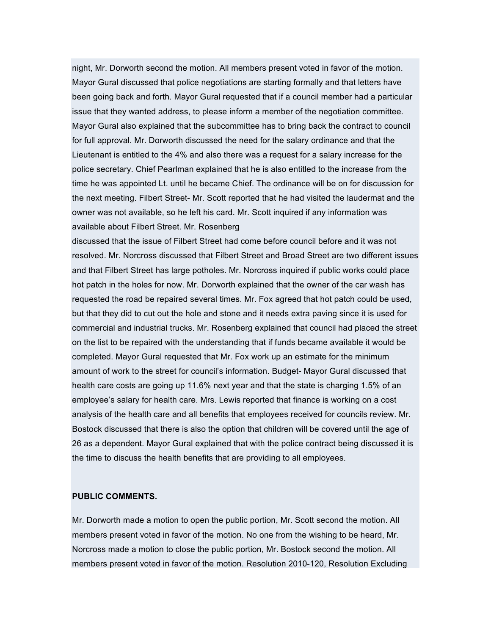night, Mr. Dorworth second the motion. All members present voted in favor of the motion. Mayor Gural discussed that police negotiations are starting formally and that letters have been going back and forth. Mayor Gural requested that if a council member had a particular issue that they wanted address, to please inform a member of the negotiation committee. Mayor Gural also explained that the subcommittee has to bring back the contract to council for full approval. Mr. Dorworth discussed the need for the salary ordinance and that the Lieutenant is entitled to the 4% and also there was a request for a salary increase for the police secretary. Chief Pearlman explained that he is also entitled to the increase from the time he was appointed Lt. until he became Chief. The ordinance will be on for discussion for the next meeting. Filbert Street- Mr. Scott reported that he had visited the laudermat and the owner was not available, so he left his card. Mr. Scott inquired if any information was available about Filbert Street. Mr. Rosenberg

discussed that the issue of Filbert Street had come before council before and it was not resolved. Mr. Norcross discussed that Filbert Street and Broad Street are two different issues and that Filbert Street has large potholes. Mr. Norcross inquired if public works could place hot patch in the holes for now. Mr. Dorworth explained that the owner of the car wash has requested the road be repaired several times. Mr. Fox agreed that hot patch could be used, but that they did to cut out the hole and stone and it needs extra paving since it is used for commercial and industrial trucks. Mr. Rosenberg explained that council had placed the street on the list to be repaired with the understanding that if funds became available it would be completed. Mayor Gural requested that Mr. Fox work up an estimate for the minimum amount of work to the street for council's information. Budget- Mayor Gural discussed that health care costs are going up 11.6% next year and that the state is charging 1.5% of an employee's salary for health care. Mrs. Lewis reported that finance is working on a cost analysis of the health care and all benefits that employees received for councils review. Mr. Bostock discussed that there is also the option that children will be covered until the age of 26 as a dependent. Mayor Gural explained that with the police contract being discussed it is the time to discuss the health benefits that are providing to all employees.

### **PUBLIC COMMENTS.**

Mr. Dorworth made a motion to open the public portion, Mr. Scott second the motion. All members present voted in favor of the motion. No one from the wishing to be heard, Mr. Norcross made a motion to close the public portion, Mr. Bostock second the motion. All members present voted in favor of the motion. Resolution 2010-120, Resolution Excluding